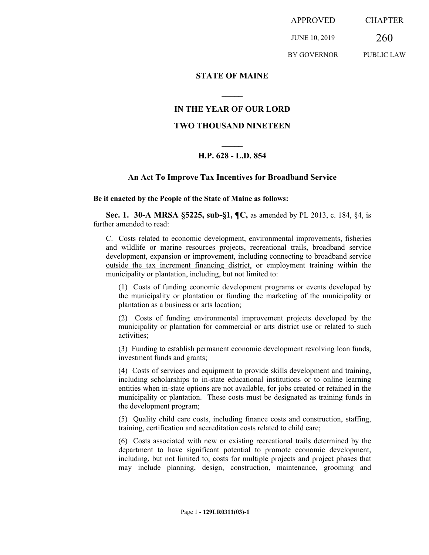APPROVED JUNE 10, 2019 BY GOVERNOR CHAPTER 260 PUBLIC LAW

### **STATE OF MAINE**

## **IN THE YEAR OF OUR LORD**

**\_\_\_\_\_**

## **TWO THOUSAND NINETEEN**

# **\_\_\_\_\_ H.P. 628 - L.D. 854**

## **An Act To Improve Tax Incentives for Broadband Service**

#### **Be it enacted by the People of the State of Maine as follows:**

**Sec. 1. 30-A MRSA §5225, sub-§1, ¶C,** as amended by PL 2013, c. 184, §4, is further amended to read:

C. Costs related to economic development, environmental improvements, fisheries and wildlife or marine resources projects, recreational trails, broadband service development, expansion or improvement, including connecting to broadband service outside the tax increment financing district, or employment training within the municipality or plantation, including, but not limited to:

(1) Costs of funding economic development programs or events developed by the municipality or plantation or funding the marketing of the municipality or plantation as a business or arts location;

(2) Costs of funding environmental improvement projects developed by the municipality or plantation for commercial or arts district use or related to such activities;

(3) Funding to establish permanent economic development revolving loan funds, investment funds and grants;

(4) Costs of services and equipment to provide skills development and training, including scholarships to in-state educational institutions or to online learning entities when in-state options are not available, for jobs created or retained in the municipality or plantation. These costs must be designated as training funds in the development program;

(5) Quality child care costs, including finance costs and construction, staffing, training, certification and accreditation costs related to child care;

(6) Costs associated with new or existing recreational trails determined by the department to have significant potential to promote economic development, including, but not limited to, costs for multiple projects and project phases that may include planning, design, construction, maintenance, grooming and